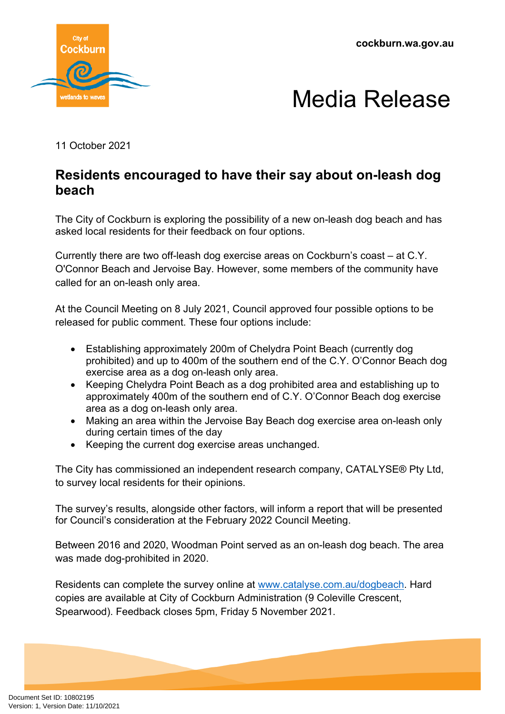**cockburn.wa.gov.au**





11 October 2021

## **Residents encouraged to have their say about on-leash dog beach**

The City of Cockburn is exploring the possibility of a new on-leash dog beach and has asked local residents for their feedback on four options.

Currently there are two off-leash dog exercise areas on Cockburn's coast – at C.Y. O'Connor Beach and Jervoise Bay. However, some members of the community have called for an on-leash only area.

At the Council Meeting on 8 July 2021, Council approved four possible options to be released for public comment. These four options include:

- Establishing approximately 200m of Chelydra Point Beach (currently dog prohibited) and up to 400m of the southern end of the C.Y. O'Connor Beach dog exercise area as a dog on-leash only area.
- Keeping Chelydra Point Beach as a dog prohibited area and establishing up to approximately 400m of the southern end of C.Y. O'Connor Beach dog exercise area as a dog on-leash only area.
- Making an area within the Jervoise Bay Beach dog exercise area on-leash only during certain times of the day
- Keeping the current dog exercise areas unchanged.

The City has commissioned an independent research company, CATALYSE® Pty Ltd, to survey local residents for their opinions.

The survey's results, alongside other factors, will inform a report that will be presented for Council's consideration at the February 2022 Council Meeting.

Between 2016 and 2020, Woodman Point served as an on-leash dog beach. The area was made dog-prohibited in 2020.

Residents can complete the survey online at [www.catalyse.com.au/dogbeach](http://www.catalyse.com.au/dogbeach). Hard copies are available at City of Cockburn Administration (9 Coleville Crescent, Spearwood). Feedback closes 5pm, Friday 5 November 2021.